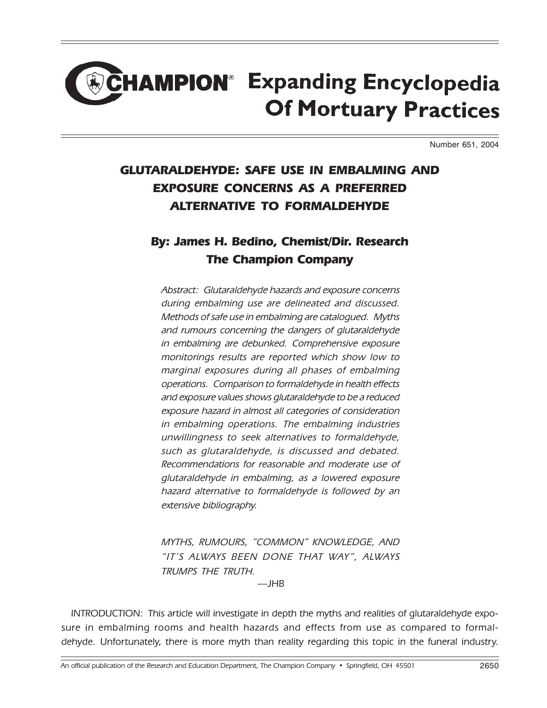# **HAMPION® Expanding Encyclopedia Of Mortuary Practices**

Number 651, 2004

#### GLUTARALDEHYDE: SAFE USE IN EMBALMING AND EXPOSURE CONCERNS AS A PREFERRED ALTERNATIVE TO FORMALDEHYDE

#### By: James H. Bedino, Chemist/Dir. Research The Champion Company

Abstract: Glutaraldehyde hazards and exposure concerns during embalming use are delineated and discussed. Methods of safe use in embalming are catalogued. Myths and rumours concerning the dangers of glutaraldehyde in embalming are debunked. Comprehensive exposure monitorings results are reported which show low to marginal exposures during all phases of embalming operations. Comparison to formaldehyde in health effects and exposure values shows glutaraldehyde to be a reduced exposure hazard in almost all categories of consideration in embalming operations. The embalming industries unwillingness to seek alternatives to formaldehyde, such as glutaraldehyde, is discussed and debated. Recommendations for reasonable and moderate use of glutaraldehyde in embalming, as a lowered exposure hazard alternative to formaldehyde is followed by an extensive bibliography.

MYTHS, RUMOURS, "COMMON" KNOWLEDGE, AND "IT'S ALWAYS BEEN DONE THAT WAY", ALWAYS TRUMPS THE TRUTH.

 $-IHR$ 

INTRODUCTION: This article will investigate in depth the myths and realities of glutaraldehyde exposure in embalming rooms and health hazards and effects from use as compared to formaldehyde. Unfortunately, there is more myth than reality regarding this topic in the funeral industry.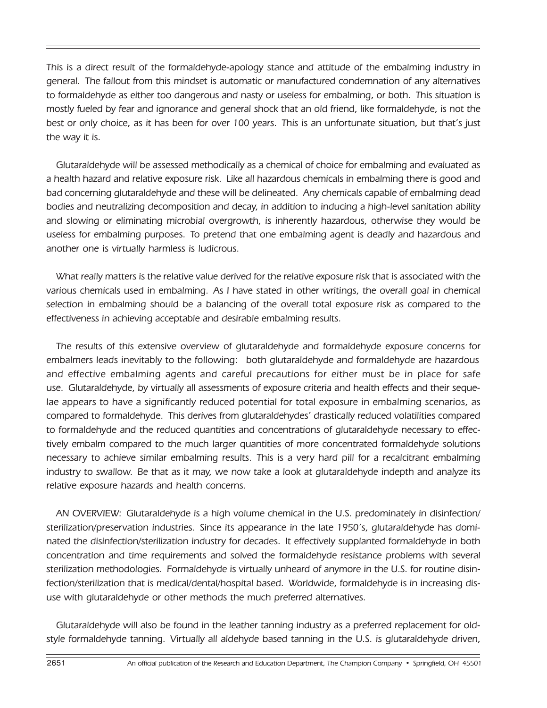This is a direct result of the formaldehyde-apology stance and attitude of the embalming industry in general. The fallout from this mindset is automatic or manufactured condemnation of any alternatives to formaldehyde as either too dangerous and nasty or useless for embalming, or both. This situation is mostly fueled by fear and ignorance and general shock that an old friend, like formaldehyde, is not the best or only choice, as it has been for over 100 years. This is an unfortunate situation, but that's just the way it is.

Glutaraldehyde will be assessed methodically as a chemical of choice for embalming and evaluated as a health hazard and relative exposure risk. Like all hazardous chemicals in embalming there is good and bad concerning glutaraldehyde and these will be delineated. Any chemicals capable of embalming dead bodies and neutralizing decomposition and decay, in addition to inducing a high-level sanitation ability and slowing or eliminating microbial overgrowth, is inherently hazardous, otherwise they would be useless for embalming purposes. To pretend that one embalming agent is deadly and hazardous and another one is virtually harmless is ludicrous.

What really matters is the relative value derived for the relative exposure risk that is associated with the various chemicals used in embalming. As I have stated in other writings, the overall goal in chemical selection in embalming should be a balancing of the overall total exposure risk as compared to the effectiveness in achieving acceptable and desirable embalming results.

The results of this extensive overview of glutaraldehyde and formaldehyde exposure concerns for embalmers leads inevitably to the following: both glutaraldehyde and formaldehyde are hazardous and effective embalming agents and careful precautions for either must be in place for safe use. Glutaraldehyde, by virtually all assessments of exposure criteria and health effects and their sequelae appears to have a significantly reduced potential for total exposure in embalming scenarios, as compared to formaldehyde. This derives from glutaraldehydesí drastically reduced volatilities compared to formaldehyde and the reduced quantities and concentrations of glutaraldehyde necessary to effectively embalm compared to the much larger quantities of more concentrated formaldehyde solutions necessary to achieve similar embalming results. This is a very hard pill for a recalcitrant embalming industry to swallow. Be that as it may, we now take a look at glutaraldehyde indepth and analyze its relative exposure hazards and health concerns.

AN OVERVIEW: Glutaraldehyde is a high volume chemical in the U.S. predominately in disinfection/ sterilization/preservation industries. Since its appearance in the late 1950ís, glutaraldehyde has dominated the disinfection/sterilization industry for decades. It effectively supplanted formaldehyde in both concentration and time requirements and solved the formaldehyde resistance problems with several sterilization methodologies. Formaldehyde is virtually unheard of anymore in the U.S. for routine disinfection/sterilization that is medical/dental/hospital based. Worldwide, formaldehyde is in increasing disuse with glutaraldehyde or other methods the much preferred alternatives.

Glutaraldehyde will also be found in the leather tanning industry as a preferred replacement for oldstyle formaldehyde tanning. Virtually all aldehyde based tanning in the U.S. is glutaraldehyde driven,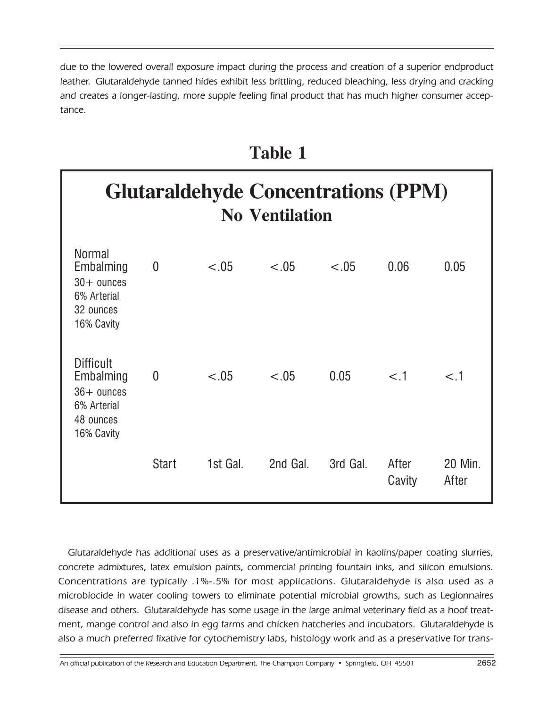due to the lowered overall exposure impact during the process and creation of a superior endproduct leather. Glutaraldehyde tanned hides exhibit less brittling, reduced bleaching, less drying and cracking and creates a longer-lasting, more supple feeling final product that has much higher consumer acceptance.

## **Table 1**

## **Glutaraldehyde Concentrations (PPM) No Ventilation**

| <b>Normal</b><br>Embalming<br>$30+$ ounces<br>6% Arterial<br>32 ounces<br>16% Cavity    | $\boldsymbol{0}$ | $-.05$   | < .05    | $-.05$   | 0.06            | 0.05             |
|-----------------------------------------------------------------------------------------|------------------|----------|----------|----------|-----------------|------------------|
| <b>Difficult</b><br>Embalming<br>$36+$ ounces<br>6% Arterial<br>48 ounces<br>16% Cavity | $\overline{0}$   | $-.05$   | $-.05$   | 0.05     | $<$ .1          | $<$ .1           |
|                                                                                         | <b>Start</b>     | 1st Gal. | 2nd Gal. | 3rd Gal. | After<br>Cavity | 20 Min.<br>After |

Glutaraldehyde has additional uses as a preservative/antimicrobial in kaolins/paper coating slurries, concrete admixtures, latex emulsion paints, commercial printing fountain inks, and silicon emulsions. Concentrations are typically .1%-.5% for most applications. Glutaraldehyde is also used as a microbiocide in water cooling towers to eliminate potential microbial growths, such as Legionnaires disease and others. Glutaraldehyde has some usage in the large animal veterinary field as a hoof treatment, mange control and also in egg farms and chicken hatcheries and incubators. Glutaraldehyde is also a much preferred fixative for cytochemistry labs, histology work and as a preservative for trans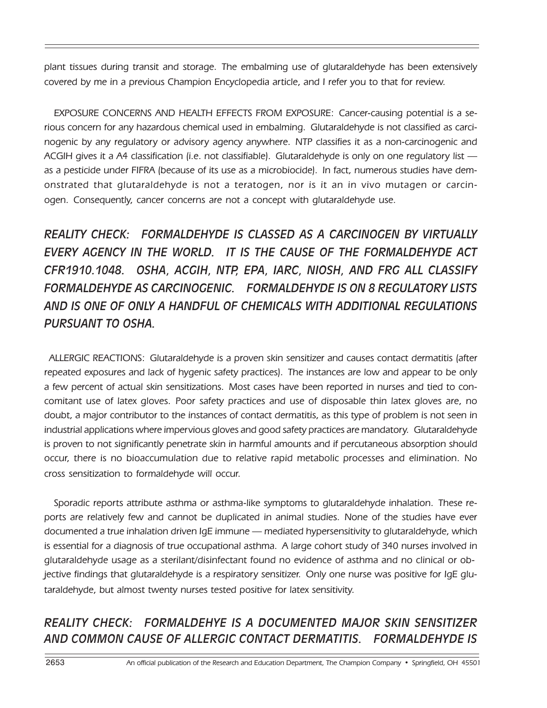plant tissues during transit and storage. The embalming use of glutaraldehyde has been extensively covered by me in a previous Champion Encyclopedia article, and I refer you to that for review.

EXPOSURE CONCERNS AND HEALTH EFFECTS FROM EXPOSURE: Cancer-causing potential is a serious concern for any hazardous chemical used in embalming. Glutaraldehyde is not classified as carcinogenic by any regulatory or advisory agency anywhere. NTP classifies it as a non-carcinogenic and ACGIH gives it a A4 classification (i.e. not classifiable). Glutaraldehyde is only on one regulatory list  $$ as a pesticide under FIFRA (because of its use as a microbiocide). In fact, numerous studies have demonstrated that glutaraldehyde is not a teratogen, nor is it an in vivo mutagen or carcinogen. Consequently, cancer concerns are not a concept with glutaraldehyde use.

*REALITY CHECK: FORMALDEHYDE IS CLASSED AS A CARCINOGEN BY VIRTUALLY EVERY AGENCY IN THE WORLD. IT IS THE CAUSE OF THE FORMALDEHYDE ACT CFR1910.1048. OSHA, ACGIH, NTP, EPA, IARC, NIOSH, AND FRG ALL CLASSIFY FORMALDEHYDE AS CARCINOGENIC. FORMALDEHYDE IS ON 8 REGULATORY LISTS AND IS ONE OF ONLY A HANDFUL OF CHEMICALS WITH ADDITIONAL REGULATIONS PURSUANT TO OSHA.*

ALLERGIC REACTIONS: Glutaraldehyde is a proven skin sensitizer and causes contact dermatitis (after repeated exposures and lack of hygenic safety practices). The instances are low and appear to be only a few percent of actual skin sensitizations. Most cases have been reported in nurses and tied to concomitant use of latex gloves. Poor safety practices and use of disposable thin latex gloves are, no doubt, a major contributor to the instances of contact dermatitis, as this type of problem is not seen in industrial applications where impervious gloves and good safety practices are mandatory. Glutaraldehyde is proven to not significantly penetrate skin in harmful amounts and if percutaneous absorption should occur, there is no bioaccumulation due to relative rapid metabolic processes and elimination. No cross sensitization to formaldehyde will occur.

Sporadic reports attribute asthma or asthma-like symptoms to glutaraldehyde inhalation. These reports are relatively few and cannot be duplicated in animal studies. None of the studies have ever documented a true inhalation driven IqE immune — mediated hypersensitivity to glutaraldehyde, which is essential for a diagnosis of true occupational asthma. A large cohort study of 340 nurses involved in glutaraldehyde usage as a sterilant/disinfectant found no evidence of asthma and no clinical or objective findings that glutaraldehyde is a respiratory sensitizer. Only one nurse was positive for IgE glutaraldehyde, but almost twenty nurses tested positive for latex sensitivity.

#### *REALITY CHECK: FORMALDEHYE IS A DOCUMENTED MAJOR SKIN SENSITIZER AND COMMON CAUSE OF ALLERGIC CONTACT DERMATITIS. FORMALDEHYDE IS*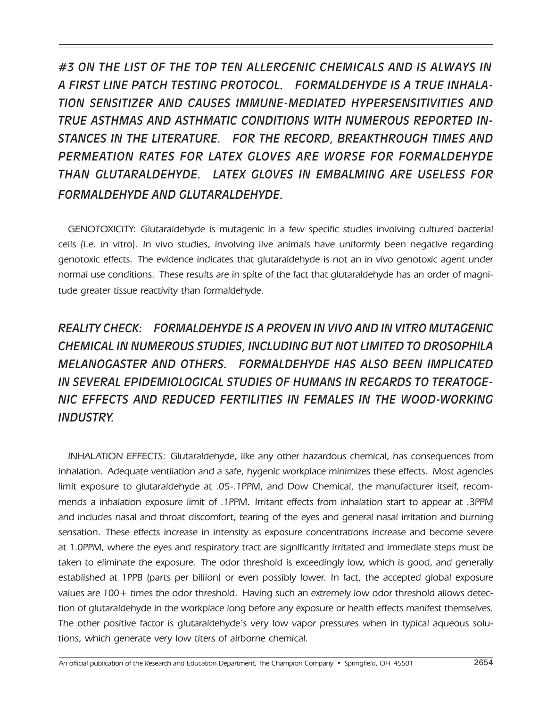*#3 ON THE LIST OF THE TOP TEN ALLERGENIC CHEMICALS AND IS ALWAYS IN A FIRST LINE PATCH TESTING PROTOCOL. FORMALDEHYDE IS A TRUE INHALA-TION SENSITIZER AND CAUSES IMMUNE-MEDIATED HYPERSENSITIVITIES AND TRUE ASTHMAS AND ASTHMATIC CONDITIONS WITH NUMEROUS REPORTED IN-STANCES IN THE LITERATURE. FOR THE RECORD, BREAKTHROUGH TIMES AND PERMEATION RATES FOR LATEX GLOVES ARE WORSE FOR FORMALDEHYDE THAN GLUTARALDEHYDE. LATEX GLOVES IN EMBALMING ARE USELESS FOR FORMALDEHYDE AND GLUTARALDEHYDE.*

GENOTOXICITY: Glutaraldehyde is mutagenic in a few specific studies involving cultured bacterial cells (i.e. in vitro). In vivo studies, involving live animals have uniformly been negative regarding genotoxic effects. The evidence indicates that glutaraldehyde is not an in vivo genotoxic agent under normal use conditions. These results are in spite of the fact that glutaraldehyde has an order of magnitude greater tissue reactivity than formaldehyde.

#### *REALITY CHECK: FORMALDEHYDE IS A PROVEN IN VIVO AND IN VITRO MUTAGENIC CHEMICAL IN NUMEROUS STUDIES, INCLUDING BUT NOT LIMITED TO DROSOPHlLA MELANOGASTER AND OTHERS. FORMALDEHYDE HAS ALSO BEEN IMPLICATED IN SEVERAL EPIDEMIOLOGICAL STUDIES OF HUMANS IN REGARDS TO TERATOGE-NIC EFFECTS AND REDUCED FERTILITIES IN FEMALES IN THE WOOD-WORKING INDUSTRY.*

INHALATION EFFECTS: Glutaraldehyde, like any other hazardous chemical, has consequences from inhalation. Adequate ventilation and a safe, hygenic workplace minimizes these effects. Most agencies limit exposure to glutaraldehyde at .05-.1PPM, and Dow Chemical, the manufacturer itself, recommends a inhalation exposure limit of .1PPM. Irritant effects from inhalation start to appear at .3PPM and includes nasal and throat discomfort, tearing of the eyes and general nasal irritation and burning sensation. These effects increase in intensity as exposure concentrations increase and become severe at 1.0PPM, where the eyes and respiratory tract are significantly irritated and immediate steps must be taken to eliminate the exposure. The odor threshold is exceedingly low, which is good, and generally established at 1PPB (parts per billion) or even possibly lower. In fact, the accepted global exposure values are 100+ times the odor threshold. Having such an extremely low odor threshold allows detection of glutaraldehyde in the workplace long before any exposure or health effects manifest themselves. The other positive factor is glutaraldehydeís very low vapor pressures when in typical aqueous solutions, which generate very low titers of airborne chemical.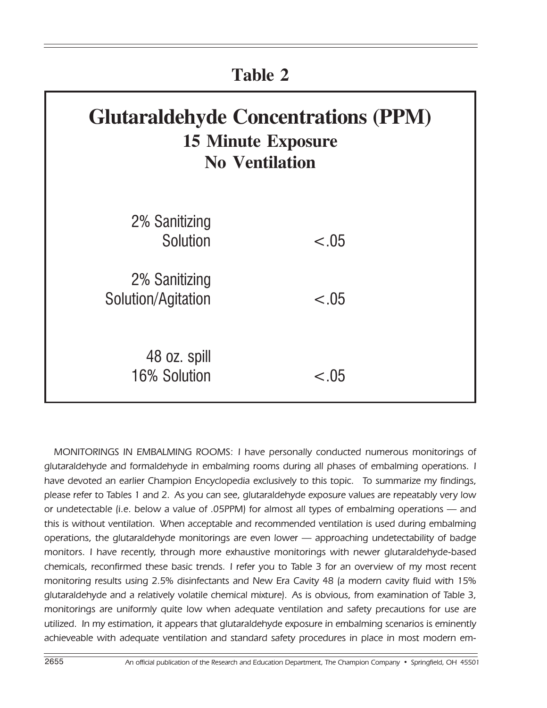| <b>Table 2</b>                                                                                   |        |  |  |  |  |
|--------------------------------------------------------------------------------------------------|--------|--|--|--|--|
| <b>Glutaraldehyde Concentrations (PPM)</b><br><b>15 Minute Exposure</b><br><b>No Ventilation</b> |        |  |  |  |  |
| 2% Sanitizing<br>Solution                                                                        | < .05  |  |  |  |  |
| 2% Sanitizing<br>Solution/Agitation                                                              | $-.05$ |  |  |  |  |
| 48 oz. spill<br>16% Solution                                                                     | $-.05$ |  |  |  |  |

MONITORINGS IN EMBALMING ROOMS: I have personally conducted numerous monitorings of glutaraldehyde and formaldehyde in embalming rooms during all phases of embalming operations. I have devoted an earlier Champion Encyclopedia exclusively to this topic. To summarize my findings, please refer to Tables 1 and 2. As you can see, glutaraldehyde exposure values are repeatably very low or undetectable (i.e. below a value of .05PPM) for almost all types of embalming operations – and this is without ventilation. When acceptable and recommended ventilation is used during embalming operations, the glutaraldehyde monitorings are even lower – approaching undetectability of badge monitors. I have recently, through more exhaustive monitorings with newer glutaraldehyde-based chemicals, reconfirmed these basic trends. I refer you to Table 3 for an overview of my most recent monitoring results using 2.5% disinfectants and New Era Cavity 48 (a modern cavity fluid with 15% glutaraldehyde and a relatively volatile chemical mixture). As is obvious, from examination of Table 3, monitorings are uniformly quite low when adequate ventilation and safety precautions for use are utilized. In my estimation, it appears that glutaraldehyde exposure in embalming scenarios is eminently achieveable with adequate ventilation and standard safety procedures in place in most modern em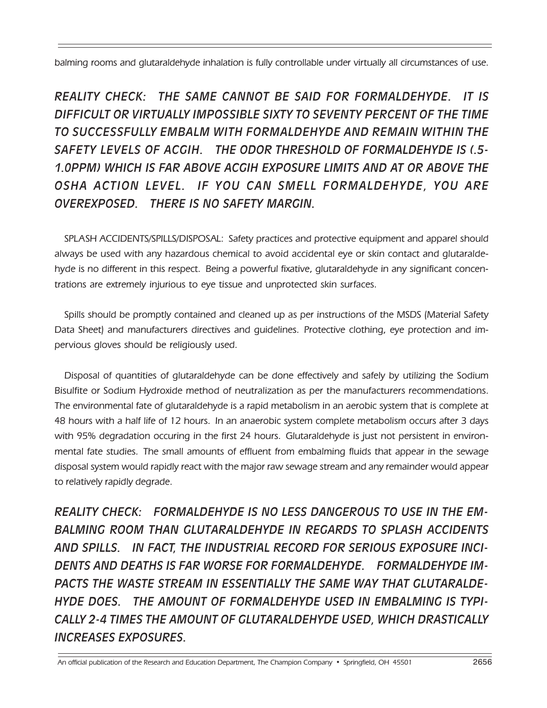balming rooms and glutaraldehyde inhalation is fully controllable under virtually all circumstances of use.

*REALITY CHECK: THE SAME CANNOT BE SAID FOR FORMALDEHYDE. IT IS DIFFICULT OR VIRTUALLY IMPOSSIBLE SIXTY TO SEVENTY PERCENT OF THE TIME TO SUCCESSFULLY EMBALM WITH FORMALDEHYDE AND REMAIN WITHIN THE SAFETY LEVELS OF ACGIH. THE ODOR THRESHOLD OF FORMALDEHYDE IS (.5- 1.0PPM) WHICH IS FAR ABOVE ACGIH EXPOSURE LIMITS AND AT OR ABOVE THE OSHA ACTION LEVEL. IF YOU CAN SMELL FORMALDEHYDE, YOU ARE OVEREXPOSED. THERE IS NO SAFETY MARGIN.*

SPLASH ACCIDENTS/SPILLS/DISPOSAL: Safety practices and protective equipment and apparel should always be used with any hazardous chemical to avoid accidental eye or skin contact and glutaraldehyde is no different in this respect. Being a powerful fixative, glutaraldehyde in any significant concentrations are extremely injurious to eye tissue and unprotected skin surfaces.

Spills should be promptly contained and cleaned up as per instructions of the MSDS (Material Safety Data Sheet) and manufacturers directives and guidelines. Protective clothing, eye protection and impervious gloves should be religiously used.

Disposal of quantities of glutaraldehyde can be done effectively and safely by utilizing the Sodium Bisulfite or Sodium Hydroxide method of neutralization as per the manufacturers recommendations. The environmental fate of glutaraldehyde is a rapid metabolism in an aerobic system that is complete at 48 hours with a half life of 12 hours. In an anaerobic system complete metabolism occurs after 3 days with 95% degradation occuring in the first 24 hours. Glutaraldehyde is just not persistent in environmental fate studies. The small amounts of effluent from embalming fluids that appear in the sewage disposal system would rapidly react with the major raw sewage stream and any remainder would appear to relatively rapidly degrade.

*REALITY CHECK: FORMALDEHYDE IS NO LESS DANGEROUS TO USE IN THE EM-BALMING ROOM THAN GLUTARALDEHYDE IN REGARDS TO SPLASH ACCIDENTS AND SPILLS. IN FACT, THE INDUSTRIAL RECORD FOR SERIOUS EXPOSURE INCI-DENTS AND DEATHS IS FAR WORSE FOR FORMALDEHYDE. FORMALDEHYDE IM-PACTS THE WASTE STREAM IN ESSENTIALLY THE SAME WAY THAT GLUTARALDE-HYDE DOES. THE AMOUNT OF FORMALDEHYDE USED IN EMBALMING IS TYPI-CALLY 2-4 TIMES THE AMOUNT OF GLUTARALDEHYDE USED, WHICH DRASTICALLY INCREASES EXPOSURES.*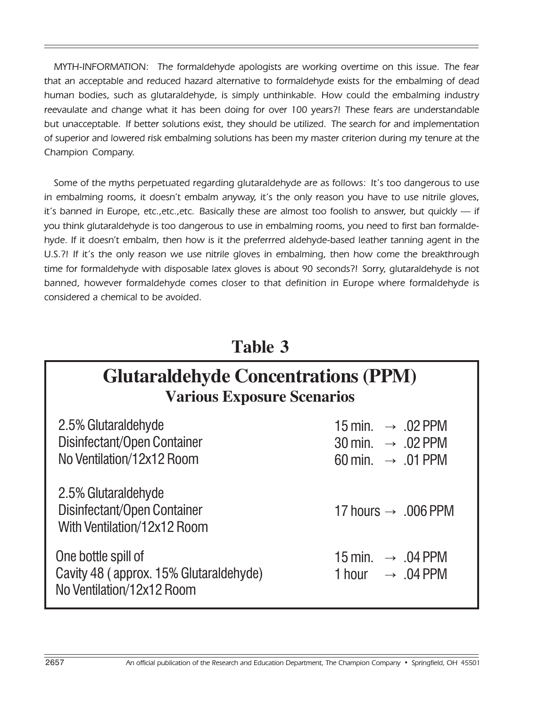MYTH-INFORMATION: The formaldehyde apologists are working overtime on this issue. The fear that an acceptable and reduced hazard alternative to formaldehyde exists for the embalming of dead human bodies, such as glutaraldehyde, is simply unthinkable. How could the embalming industry reevaulate and change what it has been doing for over 100 years?! These fears are understandable but unacceptable. If better solutions exist, they should be utilized. The search for and implementation of superior and lowered risk embalming solutions has been my master criterion during my tenure at the Champion Company.

Some of the myths perpetuated regarding glutaraldehyde are as follows: It's too dangerous to use in embalming rooms, it doesn't embalm anyway, it's the only reason you have to use nitrile gloves, it's banned in Europe, etc., etc., etc. Basically these are almost too foolish to answer, but quickly  $-$  if you think glutaraldehyde is too dangerous to use in embalming rooms, you need to first ban formaldehyde. If it doesnít embalm, then how is it the preferrred aldehyde-based leather tanning agent in the U.S.?! If itís the only reason we use nitrile gloves in embalming, then how come the breakthrough time for formaldehyde with disposable latex gloves is about 90 seconds?! Sorry, glutaraldehyde is not banned, however formaldehyde comes closer to that definition in Europe where formaldehyde is considered a chemical to be avoided.

### **Table 3**

## **Glutaraldehyde Concentrations (PPM) Various Exposure Scenarios**

| 2.5% Glutaraldehyde<br>Disinfectant/Open Container<br>No Ventilation/12x12 Room            | 15 min. $\rightarrow .02$ PPM<br>30 min. $\rightarrow .02$ PPM<br>60 min. $\rightarrow .01$ PPM |
|--------------------------------------------------------------------------------------------|-------------------------------------------------------------------------------------------------|
| 2.5% Glutaraldehyde<br>Disinfectant/Open Container<br>With Ventilation/12x12 Room          | 17 hours $\rightarrow .006$ PPM                                                                 |
| One bottle spill of<br>Cavity 48 (approx. 15% Glutaraldehyde)<br>No Ventilation/12x12 Room | 15 min. $\rightarrow .04$ PPM<br>1 hour $\rightarrow .04$ PPM                                   |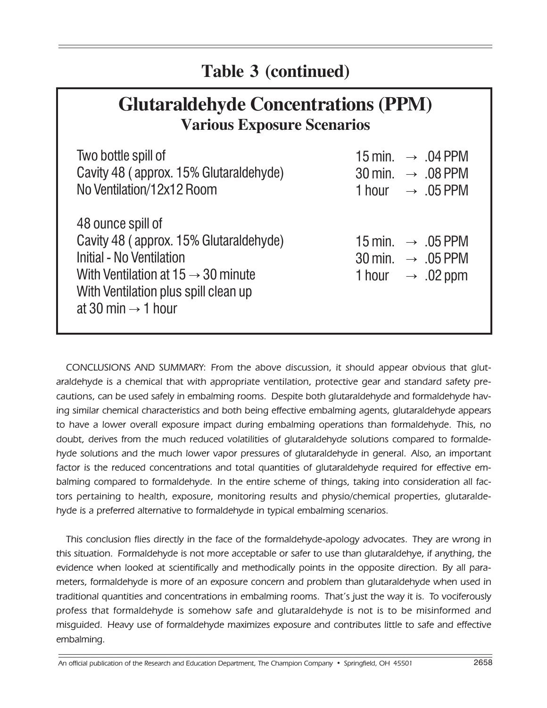## **Table 3 (continued)**

## **Glutaraldehyde Concentrations (PPM) Various Exposure Scenarios**

| Two bottle spill of                                                                                                                                                                                                 | 15 min. $\rightarrow .04$ PPM                                                                                  |
|---------------------------------------------------------------------------------------------------------------------------------------------------------------------------------------------------------------------|----------------------------------------------------------------------------------------------------------------|
| Cavity 48 (approx. 15% Glutaraldehyde)                                                                                                                                                                              | $30 \text{ min.} \rightarrow .08 \text{ PPM}$                                                                  |
| No Ventilation/12x12 Room                                                                                                                                                                                           | 1 hour $\rightarrow .05$ PPM                                                                                   |
| 48 ounce spill of<br>Cavity 48 (approx. 15% Glutaraldehyde)<br>Initial - No Ventilation<br>With Ventilation at $15 \rightarrow 30$ minute<br>With Ventilation plus spill clean up<br>at 30 min $\rightarrow$ 1 hour | 15 min. $\rightarrow .05$ PPM<br>$30 \text{ min.} \rightarrow .05 \text{ PPM}$<br>1 hour $\rightarrow .02$ ppm |

CONCLUSIONS AND SUMMARY: From the above discussion, it should appear obvious that glutaraldehyde is a chemical that with appropriate ventilation, protective gear and standard safety precautions, can be used safely in embalming rooms. Despite both glutaraldehyde and formaldehyde having similar chemical characteristics and both being effective embalming agents, glutaraldehyde appears to have a lower overall exposure impact during embalming operations than formaldehyde. This, no doubt, derives from the much reduced volatilities of glutaraldehyde solutions compared to formaldehyde solutions and the much lower vapor pressures of glutaraldehyde in general. Also, an important factor is the reduced concentrations and total quantities of glutaraldehyde required for effective embalming compared to formaldehyde. In the entire scheme of things, taking into consideration all factors pertaining to health, exposure, monitoring results and physio/chemical properties, glutaraldehyde is a preferred alternative to formaldehyde in typical embalming scenarios.

This conclusion flies directly in the face of the formaldehyde-apology advocates. They are wrong in this situation. Formaldehyde is not more acceptable or safer to use than glutaraldehye, if anything, the evidence when looked at scientifically and methodically points in the opposite direction. By all parameters, formaldehyde is more of an exposure concern and problem than glutaraldehyde when used in traditional quantities and concentrations in embalming rooms. Thatís just the way it is. To vociferously profess that formaldehyde is somehow safe and glutaraldehyde is not is to be misinformed and misguided. Heavy use of formaldehyde maximizes exposure and contributes little to safe and effective embalming.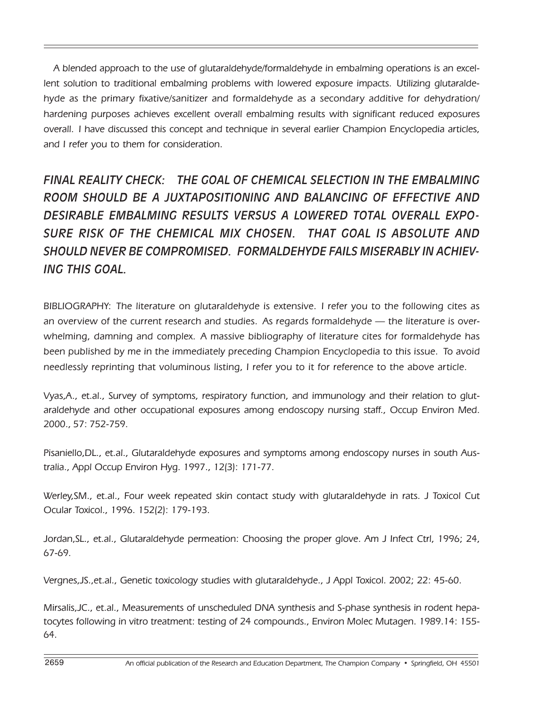A blended approach to the use of glutaraldehyde/formaldehyde in embalming operations is an excellent solution to traditional embalming problems with lowered exposure impacts. Utilizing glutaraldehyde as the primary fixative/sanitizer and formaldehyde as a secondary additive for dehydration/ hardening purposes achieves excellent overall embalming results with significant reduced exposures overall. I have discussed this concept and technique in several earlier Champion Encyclopedia articles, and I refer you to them for consideration.

*FINAL REALITY CHECK: THE GOAL OF CHEMICAL SELECTION IN THE EMBALMING ROOM SHOULD BE A JUXTAPOSITIONlNG AND BALANCING OF EFFECTIVE AND DESIRABLE EMBALMING RESULTS VERSUS A LOWERED TOTAL OVERALL EXPO-SURE RISK OF THE CHEMICAL MIX CHOSEN. THAT GOAL IS ABSOLUTE AND SHOULD NEVER BE COMPROMISED. FORMALDEHYDE FAILS MISERABLY IN ACHIEV-ING THIS GOAL.*

BIBLIOGRAPHY: The literature on glutaraldehyde is extensive. I refer you to the following cites as an overview of the current research and studies. As regards formaldehyde  $-$  the literature is overwhelming, damning and complex. A massive bibliography of literature cites for formaldehyde has been published by me in the immediately preceding Champion Encyclopedia to this issue. To avoid needlessly reprinting that voluminous listing, I refer you to it for reference to the above article.

Vyas,A., et.al., Survey of symptoms, respiratory function, and immunology and their relation to glutaraldehyde and other occupational exposures among endoscopy nursing staff., Occup Environ Med. 2000., 57: 752-759.

Pisaniello,DL., et.al., Glutaraldehyde exposures and symptoms among endoscopy nurses in south Australia., Appl Occup Environ Hyg. 1997., 12(3): 171-77.

Werley,SM., et.al., Four week repeated skin contact study with glutaraldehyde in rats. J Toxicol Cut Ocular Toxicol., 1996. 152(2): 179-193.

Jordan,SL., et.al., Glutaraldehyde permeation: Choosing the proper glove. Am J Infect Ctrl, 1996; 24, 67-69.

Vergnes,JS.,et.al., Genetic toxicology studies with glutaraldehyde., J Appl Toxicol. 2002; 22: 45-60.

Mirsalis,JC., et.al., Measurements of unscheduled DNA synthesis and S-phase synthesis in rodent hepatocytes following in vitro treatment: testing of 24 compounds., Environ Molec Mutagen. 1989.14: 155- 64.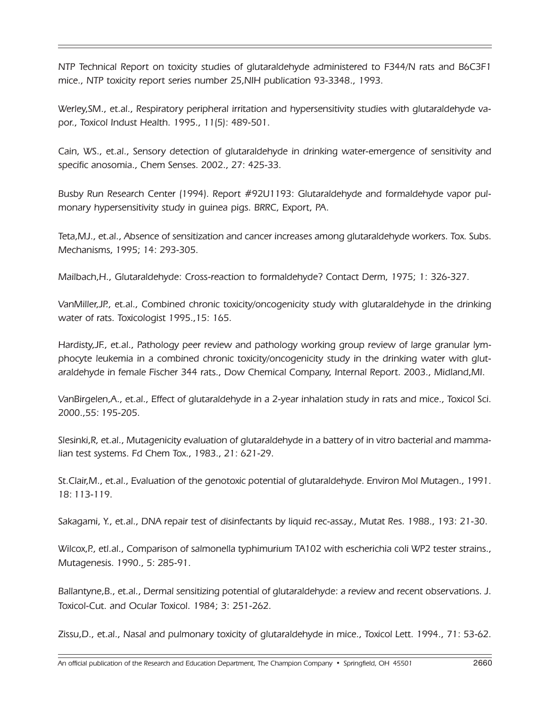NTP Technical Report on toxicity studies of glutaraldehyde administered to F344/N rats and B6C3F1 mice., NTP toxicity report series number 25,NIH publication 93-3348., 1993.

Werley,SM., et.al., Respiratory peripheral irritation and hypersensitivity studies with glutaraldehyde vapor., Toxicol Indust Health. 1995., 11(5): 489-501.

Cain, WS., et.al., Sensory detection of glutaraldehyde in drinking water-emergence of sensitivity and specific anosomia., Chem Senses. 2002., 27: 425-33.

Busby Run Research Center (1994). Report #92U1193: Glutaraldehyde and formaldehyde vapor pulmonary hypersensitivity study in guinea pigs. BRRC, Export, PA.

Teta,MJ., et.al., Absence of sensitization and cancer increases among glutaraldehyde workers. Tox. Subs. Mechanisms, 1995; 14: 293-305.

Mailbach,H., Glutaraldehyde: Cross-reaction to formaldehyde? Contact Derm, 1975; 1: 326-327.

VanMiller,JP., et.al., Combined chronic toxicity/oncogenicity study with glutaraldehyde in the drinking water of rats. Toxicologist 1995.,15: 165.

Hardisty,JF., et.al., Pathology peer review and pathology working group review of large granular lymphocyte leukemia in a combined chronic toxicity/oncogenicity study in the drinking water with glutaraldehyde in female Fischer 344 rats., Dow Chemical Company, Internal Report. 2003., Midland,MI.

VanBirgelen,A., et.al., Effect of glutaraldehyde in a 2-year inhalation study in rats and mice., Toxicol Sci. 2000.,55: 195-205.

Slesinki,R, et.al., Mutagenicity evaluation of glutaraldehyde in a battery of in vitro bacterial and mammalian test systems. Fd Chem Tox., 1983., 21: 621-29.

St.Clair,M., et.al., Evaluation of the genotoxic potential of glutaraldehyde. Environ Mol Mutagen., 1991. 18: 113-119.

Sakagami, Y., et.al., DNA repair test of disinfectants by liquid rec-assay., Mutat Res. 1988., 193: 21-30.

Wilcox, P., etl.al., Comparison of salmonella typhimurium TA102 with escherichia coli WP2 tester strains., Mutagenesis. 1990., 5: 285-91.

Ballantyne,B., et.al., Dermal sensitizing potential of glutaraldehyde: a review and recent observations. J. Toxicol-Cut. and Ocular Toxicol. 1984; 3: 251-262.

Zissu,D., et.al., Nasal and pulmonary toxicity of glutaraldehyde in mice., Toxicol Lett. 1994., 71: 53-62.